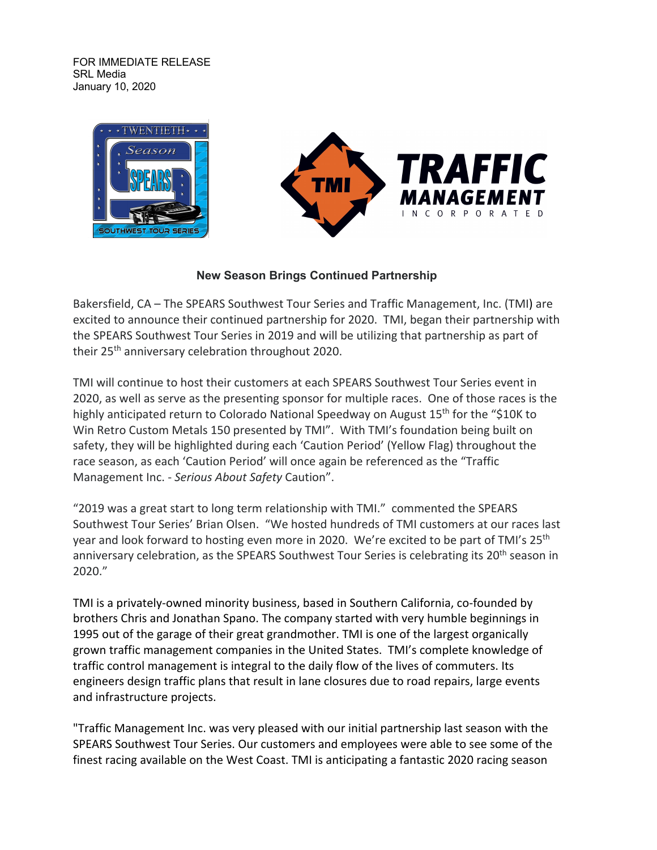FOR IMMEDIATE RELEASE SRL Media January 10, 2020





## **New Season Brings Continued Partnership**

Bakersfield, CA – The SPEARS Southwest Tour Series and Traffic Management, Inc. (TMI) are excited to announce their continued partnership for 2020. TMI, began their partnership with the SPEARS Southwest Tour Series in 2019 and will be utilizing that partnership as part of their 25<sup>th</sup> anniversary celebration throughout 2020.

TMI will continue to host their customers at each SPEARS Southwest Tour Series event in 2020, as well as serve as the presenting sponsor for multiple races. One of those races is the highly anticipated return to Colorado National Speedway on August 15<sup>th</sup> for the "\$10K to Win Retro Custom Metals 150 presented by TMI". With TMI's foundation being built on safety, they will be highlighted during each 'Caution Period' (Yellow Flag) throughout the race season, as each 'Caution Period' will once again be referenced as the "Traffic Management Inc. - *Serious About Safety* Caution".

"2019 was a great start to long term relationship with TMI." commented the SPEARS Southwest Tour Series' Brian Olsen. "We hosted hundreds of TMI customers at our races last year and look forward to hosting even more in 2020. We're excited to be part of TMI's 25<sup>th</sup> anniversary celebration, as the SPEARS Southwest Tour Series is celebrating its 20<sup>th</sup> season in 2020."

TMI is a privately-owned minority business, based in Southern California, co-founded by brothers Chris and Jonathan Spano. The company started with very humble beginnings in 1995 out of the garage of their great grandmother. TMI is one of the largest organically grown traffic management companies in the United States. TMI's complete knowledge of traffic control management is integral to the daily flow of the lives of commuters. Its engineers design traffic plans that result in lane closures due to road repairs, large events and infrastructure projects.

"Traffic Management Inc. was very pleased with our initial partnership last season with the SPEARS Southwest Tour Series. Our customers and employees were able to see some of the finest racing available on the West Coast. TMI is anticipating a fantastic 2020 racing season